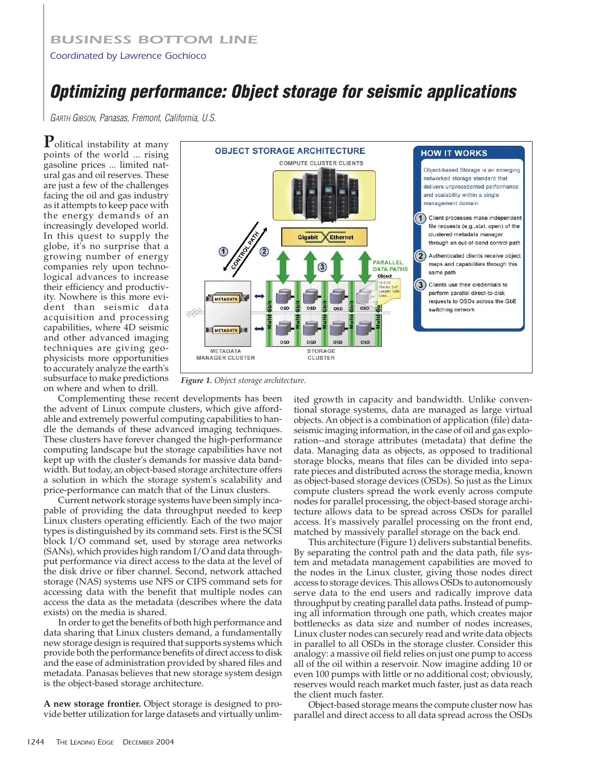## *BUSINESS BOTTOM LINE*

## *Coordinated by Lawrence Gochioco*

## **Optimizing performance: Object storage for seismic applications**

GARTH GIBSON, Panasas, Fremont, California, U.S.

**P**olitical instability at many points of the world ... rising gasoline prices ... limited natural gas and oil reserves. These are just a few of the challenges facing the oil and gas industry as it attempts to keep pace with the energy demands of an increasingly developed world. In this quest to supply the globe, it's no surprise that a growing number of energy companies rely upon technological advances to increase their efficiency and productivity. Nowhere is this more evident than seismic data acquisition and processing capabilities, where 4D seismic and other advanced imaging techniques are giving geophysicists more opportunities to accurately analyze the earth's subsurface to make predictions on where and when to drill.



*Figure 1. Object storage architecture.*

Complementing these recent developments has been the advent of Linux compute clusters, which give affordable and extremely powerful computing capabilities to handle the demands of these advanced imaging techniques. These clusters have forever changed the high-performance computing landscape but the storage capabilities have not kept up with the cluster's demands for massive data bandwidth. But today, an object-based storage architecture offers a solution in which the storage system's scalability and price-performance can match that of the Linux clusters.

Current network storage systems have been simply incapable of providing the data throughput needed to keep Linux clusters operating efficiently. Each of the two major types is distinguished by its command sets. First is the SCSI block I/O command set, used by storage area networks (SANs), which provides high random I/O and data throughput performance via direct access to the data at the level of the disk drive or fiber channel. Second, network attached storage (NAS) systems use NFS or CIFS command sets for accessing data with the benefit that multiple nodes can access the data as the metadata (describes where the data exists) on the media is shared.

In order to get the benefits of both high performance and data sharing that Linux clusters demand, a fundamentally new storage design is required that supports systems which provide both the performance benefits of direct access to disk and the ease of administration provided by shared files and metadata. Panasas believes that new storage system design is the object-based storage architecture.

**A new storage frontier.** Object storage is designed to provide better utilization for large datasets and virtually unlim-

ited growth in capacity and bandwidth. Unlike conventional storage systems, data are managed as large virtual objects. An object is a combination of application (file) dataseismic imaging information, in the case of oil and gas exploration--and storage attributes (metadata) that define the data. Managing data as objects, as opposed to traditional storage blocks, means that files can be divided into separate pieces and distributed across the storage media, known as object-based storage devices (OSDs). So just as the Linux compute clusters spread the work evenly across compute nodes for parallel processing, the object-based storage architecture allows data to be spread across OSDs for parallel access. It's massively parallel processing on the front end, matched by massively parallel storage on the back end.

This architecture (Figure 1) delivers substantial benefits. By separating the control path and the data path, file system and metadata management capabilities are moved to the nodes in the Linux cluster, giving those nodes direct access to storage devices. This allows OSDs to autonomously serve data to the end users and radically improve data throughput by creating parallel data paths. Instead of pumping all information through one path, which creates major bottlenecks as data size and number of nodes increases, Linux cluster nodes can securely read and write data objects in parallel to all OSDs in the storage cluster. Consider this analogy: a massive oil field relies on just one pump to access all of the oil within a reservoir. Now imagine adding 10 or even 100 pumps with little or no additional cost; obviously, reserves would reach market much faster, just as data reach the client much faster.

Object-based storage means the compute cluster now has parallel and direct access to all data spread across the OSDs